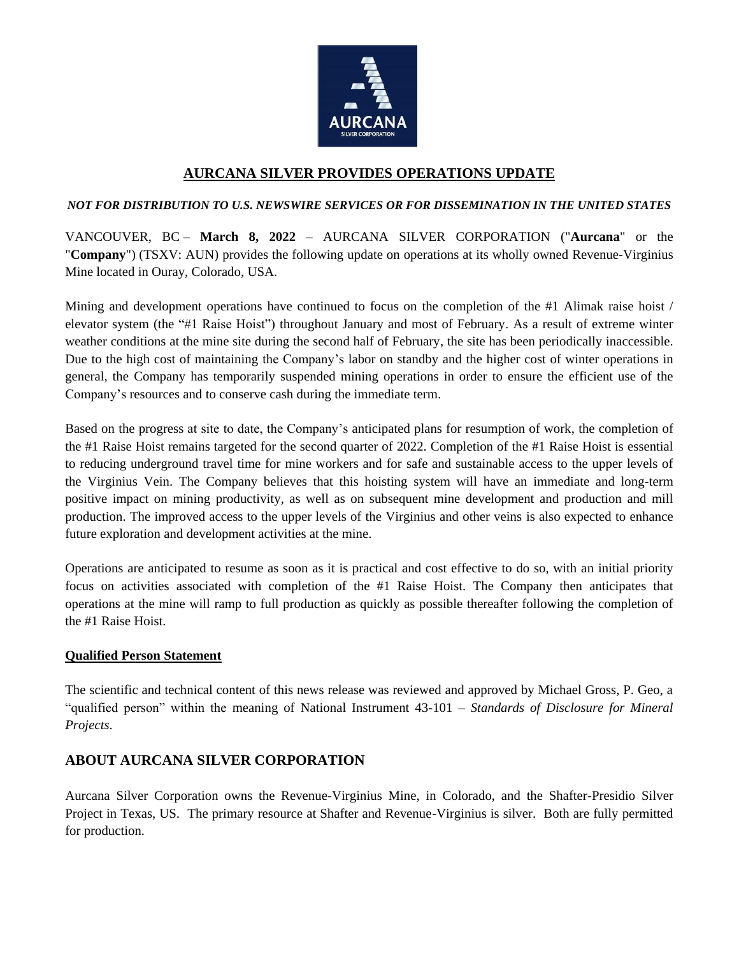

# **AURCANA SILVER PROVIDES OPERATIONS UPDATE**

### *NOT FOR DISTRIBUTION TO U.S. NEWSWIRE SERVICES OR FOR DISSEMINATION IN THE UNITED STATES*

VANCOUVER, BC – **March 8, 2022** – AURCANA SILVER CORPORATION ("**Aurcana**" or the "**Company**") (TSXV: AUN) provides the following update on operations at its wholly owned Revenue-Virginius Mine located in Ouray, Colorado, USA.

Mining and development operations have continued to focus on the completion of the #1 Alimak raise hoist / elevator system (the "#1 Raise Hoist") throughout January and most of February. As a result of extreme winter weather conditions at the mine site during the second half of February, the site has been periodically inaccessible. Due to the high cost of maintaining the Company's labor on standby and the higher cost of winter operations in general, the Company has temporarily suspended mining operations in order to ensure the efficient use of the Company's resources and to conserve cash during the immediate term.

Based on the progress at site to date, the Company's anticipated plans for resumption of work, the completion of the #1 Raise Hoist remains targeted for the second quarter of 2022. Completion of the #1 Raise Hoist is essential to reducing underground travel time for mine workers and for safe and sustainable access to the upper levels of the Virginius Vein. The Company believes that this hoisting system will have an immediate and long-term positive impact on mining productivity, as well as on subsequent mine development and production and mill production. The improved access to the upper levels of the Virginius and other veins is also expected to enhance future exploration and development activities at the mine.

Operations are anticipated to resume as soon as it is practical and cost effective to do so, with an initial priority focus on activities associated with completion of the #1 Raise Hoist. The Company then anticipates that operations at the mine will ramp to full production as quickly as possible thereafter following the completion of the #1 Raise Hoist.

#### **Qualified Person Statement**

The scientific and technical content of this news release was reviewed and approved by Michael Gross, P. Geo, a "qualified person" within the meaning of National Instrument 43-101 – *Standards of Disclosure for Mineral Projects*.

## **ABOUT AURCANA SILVER CORPORATION**

Aurcana Silver Corporation owns the Revenue-Virginius Mine, in Colorado, and the Shafter-Presidio Silver Project in Texas, US. The primary resource at Shafter and Revenue-Virginius is silver. Both are fully permitted for production.